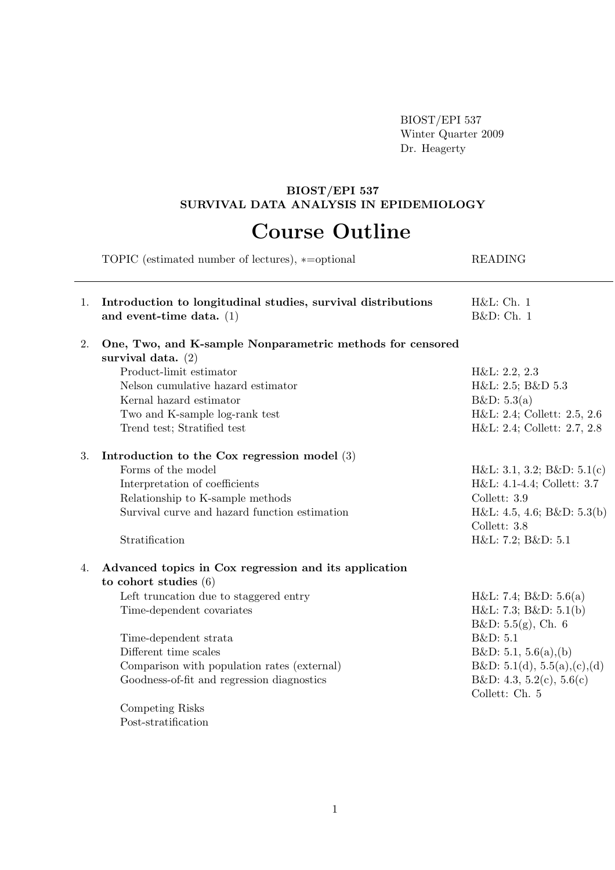BIOST/EPI 537 Winter Quarter 2009 Dr. Heagerty

## BIOST/EPI 537 SURVIVAL DATA ANALYSIS IN EPIDEMIOLOGY

## Course Outline

|    | TOPIC (estimated number of lectures), *= optional                                          | <b>READING</b>                             |
|----|--------------------------------------------------------------------------------------------|--------------------------------------------|
| 1. | Introduction to longitudinal studies, survival distributions<br>and event-time data. $(1)$ | H&L:Ch. 1<br>B&D: Ch. 1                    |
| 2. | One, Two, and K-sample Nonparametric methods for censored<br>survival data. $(2)$          |                                            |
|    | Product-limit estimator                                                                    | H&L: 2.2, 2.3                              |
|    | Nelson cumulative hazard estimator                                                         | H&L: 2.5; B&D 5.3                          |
|    | Kernal hazard estimator                                                                    | B&D: 5.3(a)                                |
|    | Two and K-sample log-rank test                                                             | H&L: 2.4; Collett: 2.5, 2.6                |
|    | Trend test; Stratified test                                                                | H&L: 2.4; Collett: 2.7, 2.8                |
| 3. | Introduction to the Cox regression model $(3)$                                             |                                            |
|    | Forms of the model                                                                         | H&L: 3.1, 3.2; B&D: 5.1(c)                 |
|    | Interpretation of coefficients                                                             | H&L: 4.1-4.4; Collett: 3.7                 |
|    | Relationship to K-sample methods                                                           | Collett: 3.9                               |
|    | Survival curve and hazard function estimation                                              | H&L: 4.5, 4.6; B&D: 5.3(b)<br>Collett: 3.8 |
|    | Stratification                                                                             | H&L: 7.2; B&D: 5.1                         |
| 4. | Advanced topics in Cox regression and its application                                      |                                            |
|    | to cohort studies $(6)$                                                                    |                                            |
|    | Left truncation due to staggered entry                                                     | H&L: 7.4; B&D: 5.6(a)                      |
|    | Time-dependent covariates                                                                  | H&L: 7.3; B&D: 5.1(b)                      |
|    |                                                                                            | B&D: 5.5(g), Ch. 6                         |
|    | Time-dependent strata                                                                      | B&D: 5.1                                   |
|    | Different time scales                                                                      | B&D: 5.1, 5.6(a),(b)                       |
|    | Comparison with population rates (external)                                                | B&D: 5.1(d), 5.5(a),(c),(d)                |
|    | Goodness-of-fit and regression diagnostics                                                 | B&D: 4.3, 5.2(c), 5.6(c)<br>Collett: Ch. 5 |
|    | Competing Risks                                                                            |                                            |
|    | Post-stratification                                                                        |                                            |